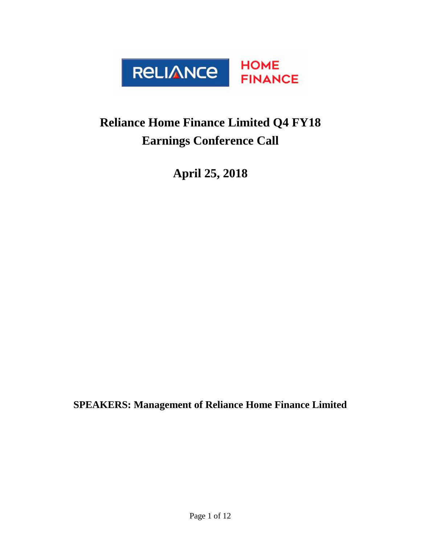

## **Reliance Home Finance Limited Q4 FY18 Earnings Conference Call**

**April 25, 2018**

**SPEAKERS: Management of Reliance Home Finance Limited**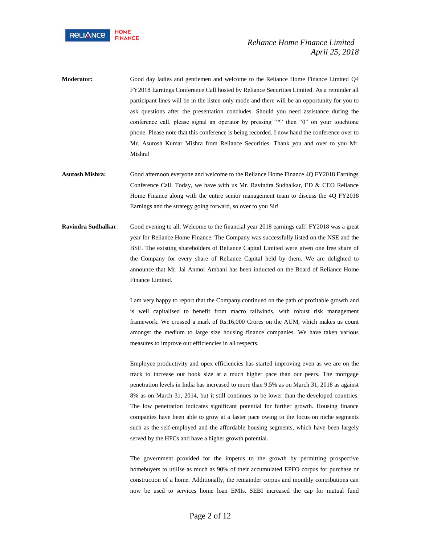

- **Moderator:** Good day ladies and gentlemen and welcome to the Reliance Home Finance Limited Q4 FY2018 Earnings Conference Call hosted by Reliance Securities Limited. As a reminder all participant lines will be in the listen-only mode and there will be an opportunity for you to ask questions after the presentation concludes. Should you need assistance during the conference call, please signal an operator by pressing "\*" then "0" on your touchtone phone. Please note that this conference is being recorded. I now hand the conference over to Mr. Asutosh Kumar Mishra from Reliance Securities. Thank you and over to you Mr. Mishra!
- **Asutosh Mishra:** Good afternoon everyone and welcome to the Reliance Home Finance 4Q FY2018 Earnings Conference Call. Today, we have with us Mr. Ravindra Sudhalkar, ED & CEO Reliance Home Finance along with the entire senior management team to discuss the 4Q FY2018 Earnings and the strategy going forward, so over to you Sir!
- **Ravindra Sudhalkar**: Good evening to all. Welcome to the financial year 2018 earnings call! FY2018 was a great year for Reliance Home Finance. The Company was successfully listed on the NSE and the BSE. The existing shareholders of Reliance Capital Limited were given one free share of the Company for every share of Reliance Capital held by them. We are delighted to announce that Mr. Jai Anmol Ambani has been inducted on the Board of Reliance Home Finance Limited.

I am very happy to report that the Company continued on the path of profitable growth and is well capitalised to benefit from macro tailwinds, with robust risk management framework. We crossed a mark of Rs.16,000 Crores on the AUM, which makes us count amongst the medium to large size housing finance companies. We have taken various measures to improve our efficiencies in all respects.

Employee productivity and opex efficiencies has started improving even as we are on the track to increase our book size at a much higher pace than our peers. The mortgage penetration levels in India has increased to more than 9.5% as on March 31, 2018 as against 8% as on March 31, 2014, but it still continues to be lower than the developed countries. The low penetration indicates significant potential for further growth. Housing finance companies have been able to grow at a faster pace owing to the focus on niche segments such as the self-employed and the affordable housing segments, which have been largely served by the HFCs and have a higher growth potential.

The government provided for the impetus to the growth by permitting prospective homebuyers to utilise as much as 90% of their accumulated EPFO corpus for purchase or construction of a home. Additionally, the remainder corpus and monthly contributions can now be used to services home loan EMIs. SEBI increased the cap for mutual fund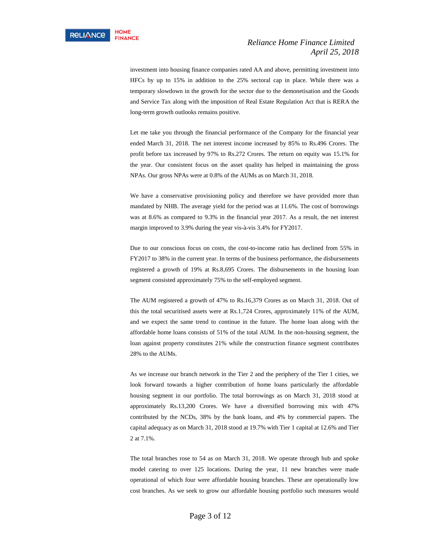investment into housing finance companies rated AA and above, permitting investment into HFCs by up to 15% in addition to the 25% sectoral cap in place. While there was a temporary slowdown in the growth for the sector due to the demonetisation and the Goods and Service Tax along with the imposition of Real Estate Regulation Act that is RERA the long-term growth outlooks remains positive.

Let me take you through the financial performance of the Company for the financial year ended March 31, 2018. The net interest income increased by 85% to Rs.496 Crores. The profit before tax increased by 97% to Rs.272 Crores. The return on equity was 15.1% for the year. Our consistent focus on the asset quality has helped in maintaining the gross NPAs. Our gross NPAs were at 0.8% of the AUMs as on March 31, 2018.

We have a conservative provisioning policy and therefore we have provided more than mandated by NHB. The average yield for the period was at 11.6%. The cost of borrowings was at 8.6% as compared to 9.3% in the financial year 2017. As a result, the net interest margin improved to 3.9% during the year vis-à-vis 3.4% for FY2017.

Due to our conscious focus on costs, the cost-to-income ratio has declined from 55% in FY2017 to 38% in the current year. In terms of the business performance, the disbursements registered a growth of 19% at Rs.8,695 Crores. The disbursements in the housing loan segment consisted approximately 75% to the self-employed segment.

The AUM registered a growth of 47% to Rs.16,379 Crores as on March 31, 2018. Out of this the total securitised assets were at Rs.1,724 Crores, approximately 11% of the AUM, and we expect the same trend to continue in the future. The home loan along with the affordable home loans consists of 51% of the total AUM. In the non-housing segment, the loan against property constitutes 21% while the construction finance segment contributes 28% to the AUMs.

As we increase our branch network in the Tier 2 and the periphery of the Tier 1 cities, we look forward towards a higher contribution of home loans particularly the affordable housing segment in our portfolio. The total borrowings as on March 31, 2018 stood at approximately Rs.13,200 Crores. We have a diversified borrowing mix with 47% contributed by the NCDs, 38% by the bank loans, and 4% by commercial papers. The capital adequacy as on March 31, 2018 stood at 19.7% with Tier 1 capital at 12.6% and Tier 2 at 7.1%.

The total branches rose to 54 as on March 31, 2018. We operate through hub and spoke model catering to over 125 locations. During the year, 11 new branches were made operational of which four were affordable housing branches. These are operationally low cost branches. As we seek to grow our affordable housing portfolio such measures would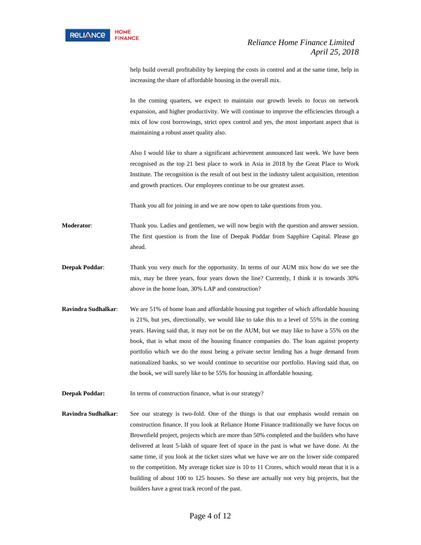help build overall profitability by keeping the costs in control and at the same time, help in increasing the share of affordable housing in the overall mix.

In the coming quarters, we expect to maintain our growth levels to focus on network expansion, and higher productivity. We will continue to improve the efficiencies through a mix of low cost borrowings, strict opex control and yes, the most important aspect that is maintaining a robust asset quality also.

Also I would like to share a significant achievement announced last week. We have been recognised as the top 21 best place to work in Asia in 2018 by the Great Place to Work Institute. The recognition is the result of out best in the industry talent acquisition, retention and growth practices. Our employees continue to be our greatest asset.

Thank you all for joining in and we are now open to take questions from you.

**Moderator**: Thank you. Ladies and gentlemen, we will now begin with the question and answer session. The first question is from the line of Deepak Poddar from Sapphire Capital. Please go ahead.

- **Deepak Poddar**: Thank you very much for the opportunity. In terms of our AUM mix how do we see the mix, may be three years, four years down the line? Currently, I think it is towards 30% above in the home loan, 30% LAP and construction?
- **Ravindra Sudhalkar**: We are 51% of home loan and affordable housing put together of which affordable housing is 21%, but yes, directionally, we would like to take this to a level of 55% in the coming years. Having said that, it may not be on the AUM, but we may like to have a 55% on the book, that is what most of the housing finance companies do. The loan against property portfolio which we do the most being a private sector lending has a huge demand from nationalized banks, so we would continue to securitise our portfolio. Having said that, on the book, we will surely like to be 55% for housing in affordable housing.
- **Deepak Poddar:** In terms of construction finance, what is our strategy?
- **Ravindra Sudhalkar:** See our strategy is two-fold. One of the things is that our emphasis would remain on construction finance. If you look at Reliance Home Finance traditionally we have focus on Brownfield project, projects which are more than 50% completed and the builders who have delivered at least 5-lakh of square feet of space in the past is what we have done. At the same time, if you look at the ticket sizes what we have we are on the lower side compared to the competition. My average ticket size is 10 to 11 Crores, which would mean that it is a building of about 100 to 125 houses. So these are actually not very big projects, but the builders have a great track record of the past.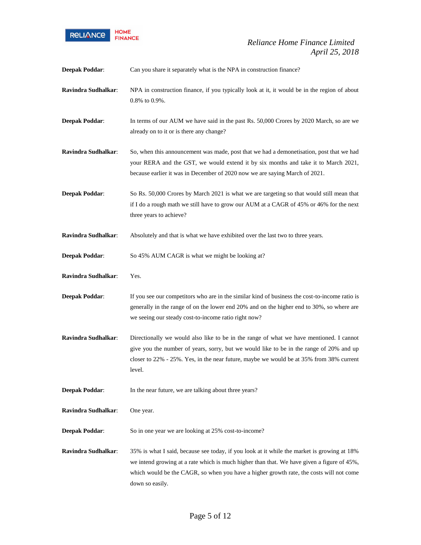

| <b>Deepak Poddar:</b> | Can you share it separately what is the NPA in construction finance?                                                                                                                                                                                                                                    |
|-----------------------|---------------------------------------------------------------------------------------------------------------------------------------------------------------------------------------------------------------------------------------------------------------------------------------------------------|
| Ravindra Sudhalkar:   | NPA in construction finance, if you typically look at it, it would be in the region of about<br>$0.8\%$ to $0.9\%$ .                                                                                                                                                                                    |
| <b>Deepak Poddar:</b> | In terms of our AUM we have said in the past Rs. 50,000 Crores by 2020 March, so are we<br>already on to it or is there any change?                                                                                                                                                                     |
| Ravindra Sudhalkar:   | So, when this announcement was made, post that we had a demonetisation, post that we had<br>your RERA and the GST, we would extend it by six months and take it to March 2021,<br>because earlier it was in December of 2020 now we are saying March of 2021.                                           |
| <b>Deepak Poddar:</b> | So Rs. 50,000 Crores by March 2021 is what we are targeting so that would still mean that<br>if I do a rough math we still have to grow our AUM at a CAGR of 45% or 46% for the next<br>three years to achieve?                                                                                         |
| Ravindra Sudhalkar:   | Absolutely and that is what we have exhibited over the last two to three years.                                                                                                                                                                                                                         |
| <b>Deepak Poddar:</b> | So 45% AUM CAGR is what we might be looking at?                                                                                                                                                                                                                                                         |
| Ravindra Sudhalkar:   | Yes.                                                                                                                                                                                                                                                                                                    |
| <b>Deepak Poddar:</b> | If you see our competitors who are in the similar kind of business the cost-to-income ratio is<br>generally in the range of on the lower end 20% and on the higher end to 30%, so where are<br>we seeing our steady cost-to-income ratio right now?                                                     |
| Ravindra Sudhalkar:   | Directionally we would also like to be in the range of what we have mentioned. I cannot<br>give you the number of years, sorry, but we would like to be in the range of 20% and up<br>closer to 22% - 25%. Yes, in the near future, maybe we would be at 35% from 38% current<br>level.                 |
| <b>Deepak Poddar:</b> | In the near future, we are talking about three years?                                                                                                                                                                                                                                                   |
| Ravindra Sudhalkar:   | One year.                                                                                                                                                                                                                                                                                               |
| <b>Deepak Poddar:</b> | So in one year we are looking at 25% cost-to-income?                                                                                                                                                                                                                                                    |
| Ravindra Sudhalkar:   | 35% is what I said, because see today, if you look at it while the market is growing at 18%<br>we intend growing at a rate which is much higher than that. We have given a figure of 45%,<br>which would be the CAGR, so when you have a higher growth rate, the costs will not come<br>down so easily. |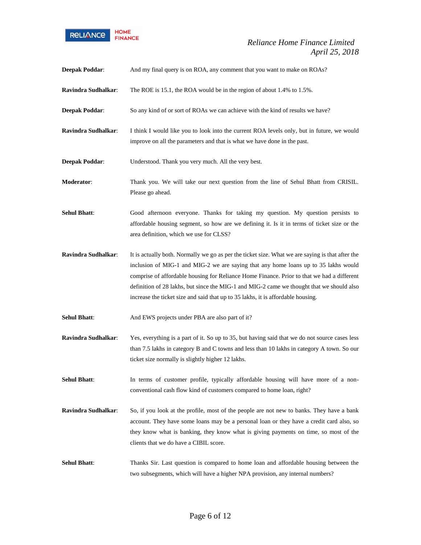

| Deepak Poddar:      | And my final query is on ROA, any comment that you want to make on ROAs?                                                                                                                                                                                                                                                                                                                                                                                               |
|---------------------|------------------------------------------------------------------------------------------------------------------------------------------------------------------------------------------------------------------------------------------------------------------------------------------------------------------------------------------------------------------------------------------------------------------------------------------------------------------------|
| Ravindra Sudhalkar: | The ROE is 15.1, the ROA would be in the region of about 1.4% to 1.5%.                                                                                                                                                                                                                                                                                                                                                                                                 |
| Deepak Poddar:      | So any kind of or sort of ROAs we can achieve with the kind of results we have?                                                                                                                                                                                                                                                                                                                                                                                        |
| Ravindra Sudhalkar: | I think I would like you to look into the current ROA levels only, but in future, we would<br>improve on all the parameters and that is what we have done in the past.                                                                                                                                                                                                                                                                                                 |
| Deepak Poddar:      | Understood. Thank you very much. All the very best.                                                                                                                                                                                                                                                                                                                                                                                                                    |
| Moderator:          | Thank you. We will take our next question from the line of Sehul Bhatt from CRISIL.<br>Please go ahead.                                                                                                                                                                                                                                                                                                                                                                |
| <b>Sehul Bhatt:</b> | Good afternoon everyone. Thanks for taking my question. My question persists to<br>affordable housing segment, so how are we defining it. Is it in terms of ticket size or the<br>area definition, which we use for CLSS?                                                                                                                                                                                                                                              |
| Ravindra Sudhalkar: | It is actually both. Normally we go as per the ticket size. What we are saying is that after the<br>inclusion of MIG-1 and MIG-2 we are saying that any home loans up to 35 lakhs would<br>comprise of affordable housing for Reliance Home Finance. Prior to that we had a different<br>definition of 28 lakhs, but since the MIG-1 and MIG-2 came we thought that we should also<br>increase the ticket size and said that up to 35 lakhs, it is affordable housing. |
| <b>Sehul Bhatt:</b> | And EWS projects under PBA are also part of it?                                                                                                                                                                                                                                                                                                                                                                                                                        |
| Ravindra Sudhalkar: | Yes, everything is a part of it. So up to 35, but having said that we do not source cases less<br>than 7.5 lakhs in category B and C towns and less than 10 lakhs in category A town. So our<br>ticket size normally is slightly higher 12 lakhs.                                                                                                                                                                                                                      |
| <b>Sehul Bhatt:</b> | In terms of customer profile, typically affordable housing will have more of a non-<br>conventional cash flow kind of customers compared to home loan, right?                                                                                                                                                                                                                                                                                                          |
| Ravindra Sudhalkar: | So, if you look at the profile, most of the people are not new to banks. They have a bank<br>account. They have some loans may be a personal loan or they have a credit card also, so<br>they know what is banking, they know what is giving payments on time, so most of the<br>clients that we do have a CIBIL score.                                                                                                                                                |
| <b>Sehul Bhatt:</b> | Thanks Sir. Last question is compared to home loan and affordable housing between the<br>two subsegments, which will have a higher NPA provision, any internal numbers?                                                                                                                                                                                                                                                                                                |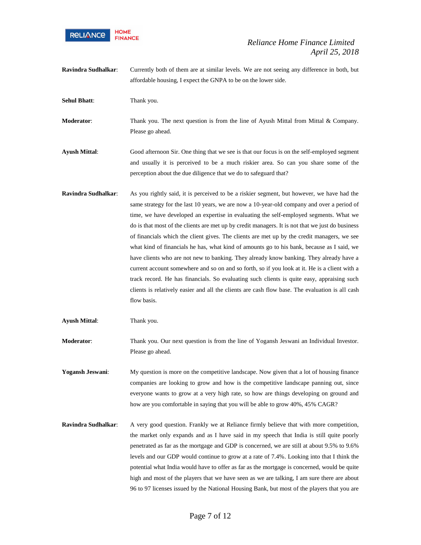

**Ravindra Sudhalkar**: Currently both of them are at similar levels. We are not seeing any difference in both, but affordable housing, I expect the GNPA to be on the lower side.

**Sehul Bhatt**: Thank you.

**Moderator:** Thank you. The next question is from the line of Ayush Mittal from Mittal & Company. Please go ahead.

- **Ayush Mittal**: Good afternoon Sir. One thing that we see is that our focus is on the self-employed segment and usually it is perceived to be a much riskier area. So can you share some of the perception about the due diligence that we do to safeguard that?
- **Ravindra Sudhalkar**: As you rightly said, it is perceived to be a riskier segment, but however, we have had the same strategy for the last 10 years, we are now a 10-year-old company and over a period of time, we have developed an expertise in evaluating the self-employed segments. What we do is that most of the clients are met up by credit managers. It is not that we just do business of financials which the client gives. The clients are met up by the credit managers, we see what kind of financials he has, what kind of amounts go to his bank, because as I said, we have clients who are not new to banking. They already know banking. They already have a current account somewhere and so on and so forth, so if you look at it. He is a client with a track record. He has financials. So evaluating such clients is quite easy, appraising such clients is relatively easier and all the clients are cash flow base. The evaluation is all cash flow basis.

**Ayush Mittal**: Thank you.

**Moderator**: Thank you. Our next question is from the line of Yogansh Jeswani an Individual Investor. Please go ahead.

**Yogansh Jeswani**: My question is more on the competitive landscape. Now given that a lot of housing finance companies are looking to grow and how is the competitive landscape panning out, since everyone wants to grow at a very high rate, so how are things developing on ground and how are you comfortable in saying that you will be able to grow 40%, 45% CAGR?

**Ravindra Sudhalkar:** A very good question. Frankly we at Reliance firmly believe that with more competition, the market only expands and as I have said in my speech that India is still quite poorly penetrated as far as the mortgage and GDP is concerned, we are still at about 9.5% to 9.6% levels and our GDP would continue to grow at a rate of 7.4%. Looking into that I think the potential what India would have to offer as far as the mortgage is concerned, would be quite high and most of the players that we have seen as we are talking, I am sure there are about 96 to 97 licenses issued by the National Housing Bank, but most of the players that you are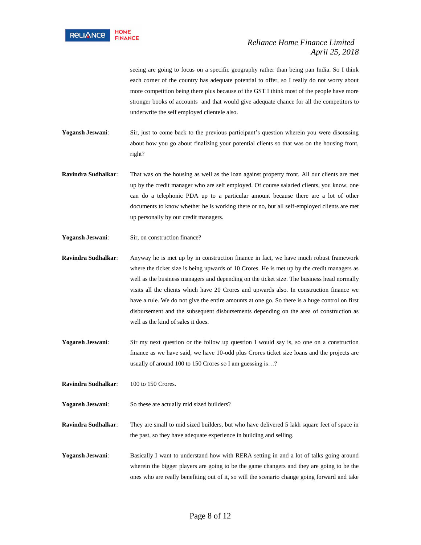

seeing are going to focus on a specific geography rather than being pan India. So I think each corner of the country has adequate potential to offer, so I really do not worry about more competition being there plus because of the GST I think most of the people have more stronger books of accounts and that would give adequate chance for all the competitors to underwrite the self employed clientele also.

Yogansh Jeswani: Sir, just to come back to the previous participant's question wherein you were discussing about how you go about finalizing your potential clients so that was on the housing front, right?

- **Ravindra Sudhalkar**: That was on the housing as well as the loan against property front. All our clients are met up by the credit manager who are self employed. Of course salaried clients, you know, one can do a telephonic PDA up to a particular amount because there are a lot of other documents to know whether he is working there or no, but all self-employed clients are met up personally by our credit managers.
- Yogansh Jeswani: Sir, on construction finance?

**Ravindra Sudhalkar**: Anyway he is met up by in construction finance in fact, we have much robust framework where the ticket size is being upwards of 10 Crores. He is met up by the credit managers as well as the business managers and depending on the ticket size. The business head normally visits all the clients which have 20 Crores and upwards also. In construction finance we have a rule. We do not give the entire amounts at one go. So there is a huge control on first disbursement and the subsequent disbursements depending on the area of construction as well as the kind of sales it does.

**Yogansh Jeswani:** Sir my next question or the follow up question I would say is, so one on a construction finance as we have said, we have 10-odd plus Crores ticket size loans and the projects are usually of around 100 to 150 Crores so I am guessing is…?

**Ravindra Sudhalkar:** 100 to 150 Crores.

**Yogansh Jeswani**: So these are actually mid sized builders?

**Ravindra Sudhalkar**: They are small to mid sized builders, but who have delivered 5 lakh square feet of space in the past, so they have adequate experience in building and selling.

**Yogansh Jeswani**: Basically I want to understand how with RERA setting in and a lot of talks going around wherein the bigger players are going to be the game changers and they are going to be the ones who are really benefiting out of it, so will the scenario change going forward and take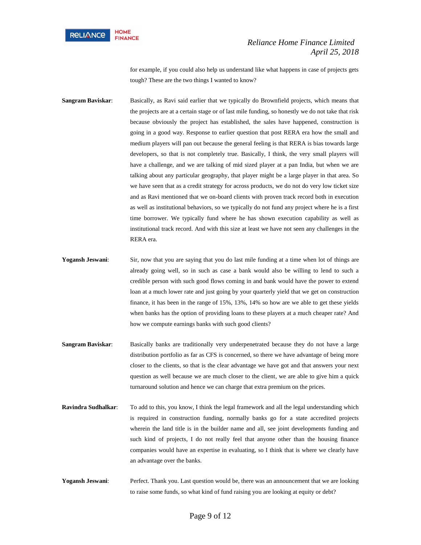

for example, if you could also help us understand like what happens in case of projects gets tough? These are the two things I wanted to know?

- **Sangram Baviskar:** Basically, as Ravi said earlier that we typically do Brownfield projects, which means that the projects are at a certain stage or of last mile funding, so honestly we do not take that risk because obviously the project has established, the sales have happened, construction is going in a good way. Response to earlier question that post RERA era how the small and medium players will pan out because the general feeling is that RERA is bias towards large developers, so that is not completely true. Basically, I think, the very small players will have a challenge, and we are talking of mid sized player at a pan India, but when we are talking about any particular geography, that player might be a large player in that area. So we have seen that as a credit strategy for across products, we do not do very low ticket size and as Ravi mentioned that we on-board clients with proven track record both in execution as well as institutional behaviors, so we typically do not fund any project where he is a first time borrower. We typically fund where he has shown execution capability as well as institutional track record. And with this size at least we have not seen any challenges in the RERA era.
- Yogansh Jeswani: Sir, now that you are saying that you do last mile funding at a time when lot of things are already going well, so in such as case a bank would also be willing to lend to such a credible person with such good flows coming in and bank would have the power to extend loan at a much lower rate and just going by your quarterly yield that we get on construction finance, it has been in the range of 15%, 13%, 14% so how are we able to get these yields when banks has the option of providing loans to these players at a much cheaper rate? And how we compute earnings banks with such good clients?
- **Sangram Baviskar:** Basically banks are traditionally very underpenetrated because they do not have a large distribution portfolio as far as CFS is concerned, so there we have advantage of being more closer to the clients, so that is the clear advantage we have got and that answers your next question as well because we are much closer to the client, we are able to give him a quick turnaround solution and hence we can charge that extra premium on the prices.
- **Ravindra Sudhalkar**: To add to this, you know, I think the legal framework and all the legal understanding which is required in construction funding, normally banks go for a state accredited projects wherein the land title is in the builder name and all, see joint developments funding and such kind of projects, I do not really feel that anyone other than the housing finance companies would have an expertise in evaluating, so I think that is where we clearly have an advantage over the banks.
- **Yogansh Jeswani**: Perfect. Thank you. Last question would be, there was an announcement that we are looking to raise some funds, so what kind of fund raising you are looking at equity or debt?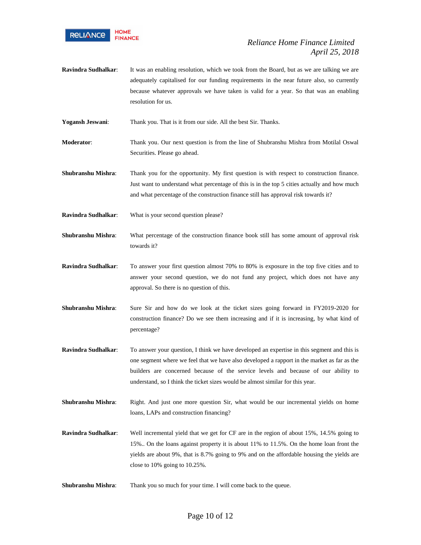

**Ravindra Sudhalkar**: It was an enabling resolution, which we took from the Board, but as we are talking we are adequately capitalised for our funding requirements in the near future also, so currently because whatever approvals we have taken is valid for a year. So that was an enabling resolution for us.

**Yogansh Jeswani**: Thank you. That is it from our side. All the best Sir. Thanks.

- **Moderator**: Thank you. Our next question is from the line of Shubranshu Mishra from Motilal Oswal Securities. Please go ahead.
- **Shubranshu Mishra**: Thank you for the opportunity. My first question is with respect to construction finance. Just want to understand what percentage of this is in the top 5 cities actually and how much and what percentage of the construction finance still has approval risk towards it?
- **Ravindra Sudhalkar**: What is your second question please?
- **Shubranshu Mishra**: What percentage of the construction finance book still has some amount of approval risk towards it?
- **Ravindra Sudhalkar**: To answer your first question almost 70% to 80% is exposure in the top five cities and to answer your second question, we do not fund any project, which does not have any approval. So there is no question of this.
- **Shubranshu Mishra**: Sure Sir and how do we look at the ticket sizes going forward in FY2019-2020 for construction finance? Do we see them increasing and if it is increasing, by what kind of percentage?
- **Ravindra Sudhalkar**: To answer your question, I think we have developed an expertise in this segment and this is one segment where we feel that we have also developed a rapport in the market as far as the builders are concerned because of the service levels and because of our ability to understand, so I think the ticket sizes would be almost similar for this year.
- **Shubranshu Mishra:** Right. And just one more question Sir, what would be our incremental yields on home loans, LAPs and construction financing?
- **Ravindra Sudhalkar**: Well incremental yield that we get for CF are in the region of about 15%, 14.5% going to 15%.. On the loans against property it is about 11% to 11.5%. On the home loan front the yields are about 9%, that is 8.7% going to 9% and on the affordable housing the yields are close to 10% going to 10.25%.
- **Shubranshu Mishra**: Thank you so much for your time. I will come back to the queue.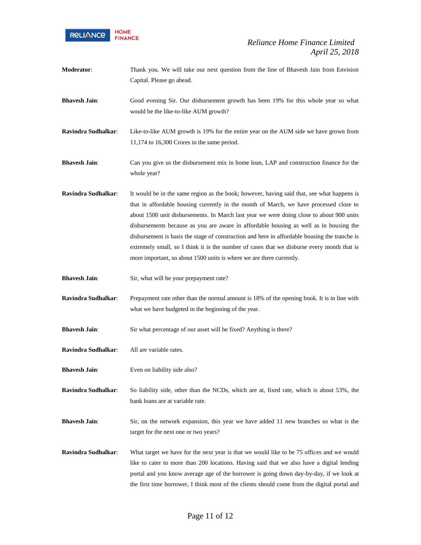

| Moderator:           | Thank you. We will take our next question from the line of Bhavesh Jain from Envision<br>Capital. Please go ahead.                                                                                                                                                                                                                                                                                                                                                                                                                                                                                                                                |
|----------------------|---------------------------------------------------------------------------------------------------------------------------------------------------------------------------------------------------------------------------------------------------------------------------------------------------------------------------------------------------------------------------------------------------------------------------------------------------------------------------------------------------------------------------------------------------------------------------------------------------------------------------------------------------|
| <b>Bhavesh Jain:</b> | Good evening Sir. Our disbursement growth has been 19% for this whole year so what<br>would be the like-to-like AUM growth?                                                                                                                                                                                                                                                                                                                                                                                                                                                                                                                       |
| Ravindra Sudhalkar:  | Like-to-like AUM growth is 19% for the entire year on the AUM side we have grown from<br>11,174 to 16,300 Crores in the same period.                                                                                                                                                                                                                                                                                                                                                                                                                                                                                                              |
| <b>Bhavesh Jain:</b> | Can you give us the disbursement mix in home loan, LAP and construction finance for the<br>whole year?                                                                                                                                                                                                                                                                                                                                                                                                                                                                                                                                            |
| Ravindra Sudhalkar:  | It would be in the same region as the book; however, having said that, see what happens is<br>that in affordable housing currently in the month of March, we have processed close to<br>about 1500 unit disbursements. In March last year we were doing close to about 900 units<br>disbursements because as you are aware in affordable housing as well as in housing the<br>disbursement is basis the stage of construction and here in affordable housing the tranche is<br>extremely small, so I think it is the number of cases that we disburse every month that is<br>more important, so about 1500 units is where we are there currently. |
| <b>Bhavesh Jain:</b> | Sir, what will be your prepayment rate?                                                                                                                                                                                                                                                                                                                                                                                                                                                                                                                                                                                                           |
| Ravindra Sudhalkar:  | Prepayment rate other than the normal amount is 18% of the opening book. It is in line with<br>what we have budgeted in the beginning of the year.                                                                                                                                                                                                                                                                                                                                                                                                                                                                                                |
| <b>Bhavesh Jain:</b> | Sir what percentage of our asset will be fixed? Anything is there?                                                                                                                                                                                                                                                                                                                                                                                                                                                                                                                                                                                |
| Ravindra Sudhalkar:  | All are variable rates.                                                                                                                                                                                                                                                                                                                                                                                                                                                                                                                                                                                                                           |
| <b>Bhavesh Jain:</b> | Even on liability side also?                                                                                                                                                                                                                                                                                                                                                                                                                                                                                                                                                                                                                      |
| Ravindra Sudhalkar:  | So liability side, other than the NCDs, which are at, fixed rate, which is about 53%, the<br>bank loans are at variable rate.                                                                                                                                                                                                                                                                                                                                                                                                                                                                                                                     |
| <b>Bhavesh Jain:</b> | Sir, on the network expansion, this year we have added 11 new branches so what is the<br>target for the next one or two years?                                                                                                                                                                                                                                                                                                                                                                                                                                                                                                                    |
| Ravindra Sudhalkar:  | What target we have for the next year is that we would like to be 75 offices and we would<br>like to cater to more than 200 locations. Having said that we also have a digital lending<br>portal and you know average age of the borrower is going down day-by-day, if we look at                                                                                                                                                                                                                                                                                                                                                                 |

the first time borrower, I think most of the clients should come from the digital portal and